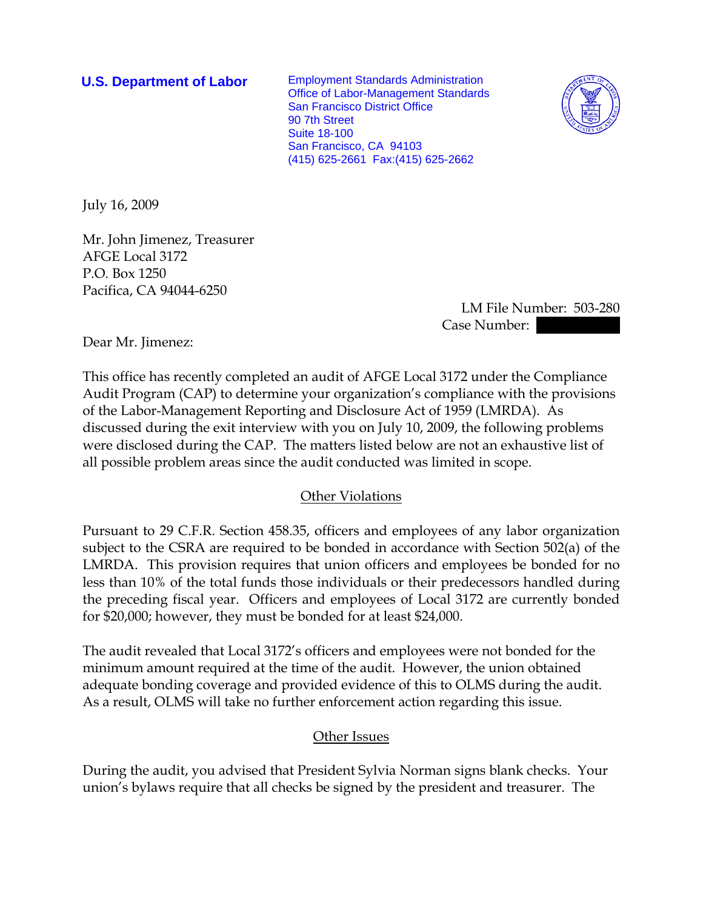**U.S. Department of Labor** Employment Standards Administration Office of Labor-Management Standards San Francisco District Office 90 7th Street Suite 18-100 San Francisco, CA 94103 (415) 625-2661 Fax:(415) 625-2662



July 16, 2009

Mr. John Jimenez, Treasurer AFGE Local 3172 P.O. Box 1250 Pacifica, CA 94044-6250

> LM File Number: 503-280 Case Number:

Dear Mr. Jimenez:

This office has recently completed an audit of AFGE Local 3172 under the Compliance Audit Program (CAP) to determine your organization's compliance with the provisions of the Labor-Management Reporting and Disclosure Act of 1959 (LMRDA). As discussed during the exit interview with you on July 10, 2009, the following problems were disclosed during the CAP. The matters listed below are not an exhaustive list of all possible problem areas since the audit conducted was limited in scope.

## Other Violations

Pursuant to 29 C.F.R. Section 458.35, officers and employees of any labor organization subject to the CSRA are required to be bonded in accordance with Section 502(a) of the LMRDA. This provision requires that union officers and employees be bonded for no less than 10% of the total funds those individuals or their predecessors handled during the preceding fiscal year. Officers and employees of Local 3172 are currently bonded for \$20,000; however, they must be bonded for at least \$24,000.

The audit revealed that Local 3172's officers and employees were not bonded for the minimum amount required at the time of the audit. However, the union obtained adequate bonding coverage and provided evidence of this to OLMS during the audit. As a result, OLMS will take no further enforcement action regarding this issue.

## Other Issues

During the audit, you advised that President Sylvia Norman signs blank checks. Your union's bylaws require that all checks be signed by the president and treasurer. The